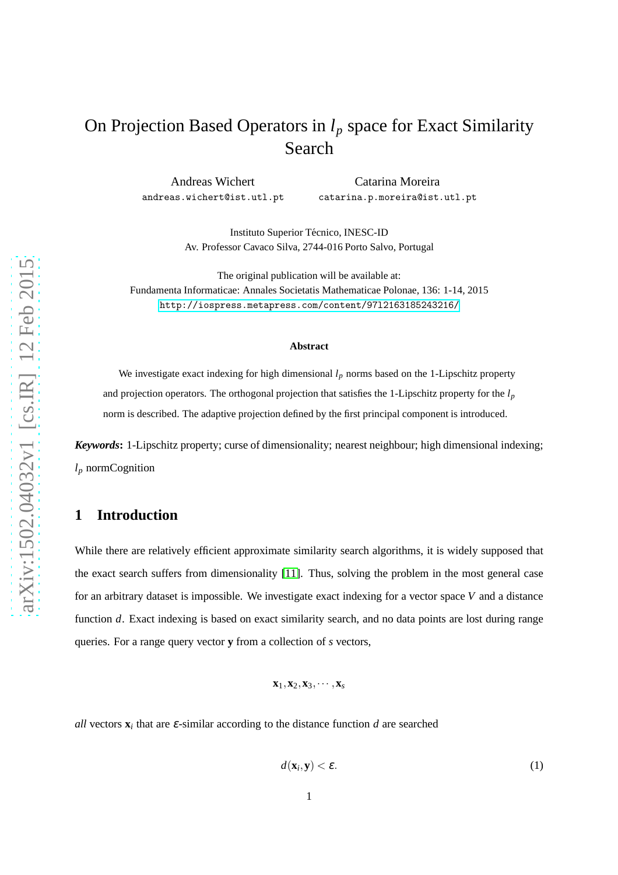# On Projection Based Operators in *l<sup>p</sup>* space for Exact Similarity Search

Andreas Wichert andreas.wichert@ist.utl.pt

Catarina Moreira catarina.p.moreira@ist.utl.pt

Instituto Superior Técnico, INESC-ID Av. Professor Cavaco Silva, 2744-016 Porto Salvo, Portugal

The original publication will be available at: Fundamenta Informaticae: Annales Societatis Mathematicae Polonae, 136: 1-14, 2015 <http://iospress.metapress.com/content/97l2163185243216/>

#### **Abstract**

We investigate exact indexing for high dimensional  $l_p$  norms based on the 1-Lipschitz property and projection operators. The orthogonal projection that satisfies the 1-Lipschitz property for the *l<sup>p</sup>* norm is described. The adaptive projection defined by the first principal component is introduced.

*Keywords***:** 1-Lipschitz property; curse of dimensionality; nearest neighbour; high dimensional indexing; *l<sup>p</sup>* normCognition

### **1 Introduction**

While there are relatively efficient approximate similarity search algorithms, it is widely supposed that the exact search suffers from dimensionality [\[11\]](#page-18-0). Thus, solving the problem in the most general case for an arbitrary dataset is impossible. We investigate exact indexing for a vector space *V* and a distance function *d*. Exact indexing is based on exact similarity search, and no data points are lost during range queries. For a range query vector **y** from a collection of *s* vectors,

$$
\mathbf{x}_1, \mathbf{x}_2, \mathbf{x}_3, \cdots, \mathbf{x}_s
$$

1

*all* vectors  $\mathbf{x}_i$  that are  $\varepsilon$ -similar according to the distance function *d* are searched

$$
d(\mathbf{x}_i, \mathbf{y}) < \varepsilon. \tag{1}
$$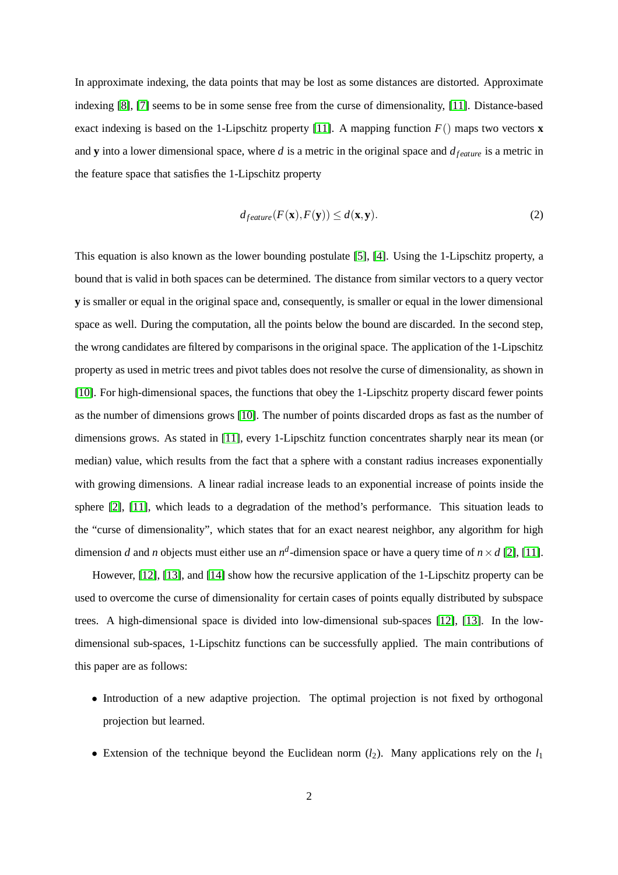In approximate indexing, the data points that may be lost as some distances are distorted. Approximate indexing [\[8\]](#page-18-1), [\[7\]](#page-18-2) seems to be in some sense free from the curse of dimensionality, [\[11\]](#page-18-0). Distance-based exact indexing is based on the 1-Lipschitz property [\[11\]](#page-18-0). A mapping function  $F()$  maps two vectors **x** and **y** into a lower dimensional space, where *d* is a metric in the original space and  $d_{feature}$  is a metric in the feature space that satisfies the 1-Lipschitz property

$$
d_{feature}(F(\mathbf{x}), F(\mathbf{y})) \le d(\mathbf{x}, \mathbf{y}).
$$
\n(2)

This equation is also known as the lower bounding postulate [\[5\]](#page-17-0), [\[4\]](#page-17-1). Using the 1-Lipschitz property, a bound that is valid in both spaces can be determined. The distance from similar vectors to a query vector **y** is smaller or equal in the original space and, consequently, is smaller or equal in the lower dimensional space as well. During the computation, all the points below the bound are discarded. In the second step, the wrong candidates are filtered by comparisons in the original space. The application of the 1-Lipschitz property as used in metric trees and pivot tables does not resolve the curse of dimensionality, as shown in [\[10\]](#page-18-3). For high-dimensional spaces, the functions that obey the 1-Lipschitz property discard fewer points as the number of dimensions grows [\[10\]](#page-18-3). The number of points discarded drops as fast as the number of dimensions grows. As stated in [\[11\]](#page-18-0), every 1-Lipschitz function concentrates sharply near its mean (or median) value, which results from the fact that a sphere with a constant radius increases exponentially with growing dimensions. A linear radial increase leads to an exponential increase of points inside the sphere [\[2\]](#page-17-2), [\[11\]](#page-18-0), which leads to a degradation of the method's performance. This situation leads to the "curse of dimensionality", which states that for an exact nearest neighbor, any algorithm for high dimension *d* and *n* objects must either use an  $n^d$ -dimension space or have a query time of  $n \times d$  [\[2\]](#page-17-2), [\[11\]](#page-18-0).

However, [\[12\]](#page-18-4), [\[13\]](#page-18-5), and [\[14\]](#page-18-6) show how the recursive application of the 1-Lipschitz property can be used to overcome the curse of dimensionality for certain cases of points equally distributed by subspace trees. A high-dimensional space is divided into low-dimensional sub-spaces [\[12\]](#page-18-4), [\[13\]](#page-18-5). In the lowdimensional sub-spaces, 1-Lipschitz functions can be successfully applied. The main contributions of this paper are as follows:

- Introduction of a new adaptive projection. The optimal projection is not fixed by orthogonal projection but learned.
- Extension of the technique beyond the Euclidean norm  $(l_2)$ . Many applications rely on the  $l_1$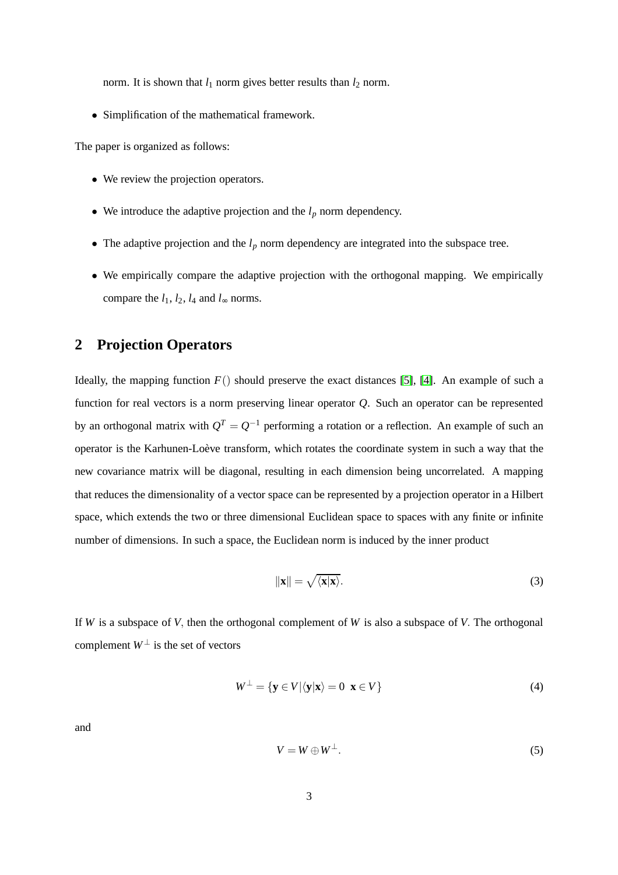norm. It is shown that  $l_1$  norm gives better results than  $l_2$  norm.

• Simplification of the mathematical framework.

The paper is organized as follows:

- We review the projection operators.
- We introduce the adaptive projection and the  $l_p$  norm dependency.
- The adaptive projection and the  $l_p$  norm dependency are integrated into the subspace tree.
- We empirically compare the adaptive projection with the orthogonal mapping. We empirically compare the  $l_1$ ,  $l_2$ ,  $l_4$  and  $l_{\infty}$  norms.

## **2 Projection Operators**

Ideally, the mapping function  $F()$  should preserve the exact distances [\[5\]](#page-17-0), [\[4\]](#page-17-1). An example of such a function for real vectors is a norm preserving linear operator *Q*. Such an operator can be represented by an orthogonal matrix with  $Q^T = Q^{-1}$  performing a rotation or a reflection. An example of such an operator is the Karhunen-Loève transform, which rotates the coordinate system in such a way that the new covariance matrix will be diagonal, resulting in each dimension being uncorrelated. A mapping that reduces the dimensionality of a vector space can be represented by a projection operator in a Hilbert space, which extends the two or three dimensional Euclidean space to spaces with any finite or infinite number of dimensions. In such a space, the Euclidean norm is induced by the inner product

$$
\|\mathbf{x}\| = \sqrt{\langle \mathbf{x} | \mathbf{x} \rangle}.
$$
 (3)

If *W* is a subspace of *V*, then the orthogonal complement of *W* is also a subspace of *V*. The orthogonal complement  $W^{\perp}$  is the set of vectors

$$
W^{\perp} = \{ \mathbf{y} \in V | \langle \mathbf{y} | \mathbf{x} \rangle = 0 \ \mathbf{x} \in V \}
$$
 (4)

and

$$
V = W \oplus W^{\perp}.
$$
 (5)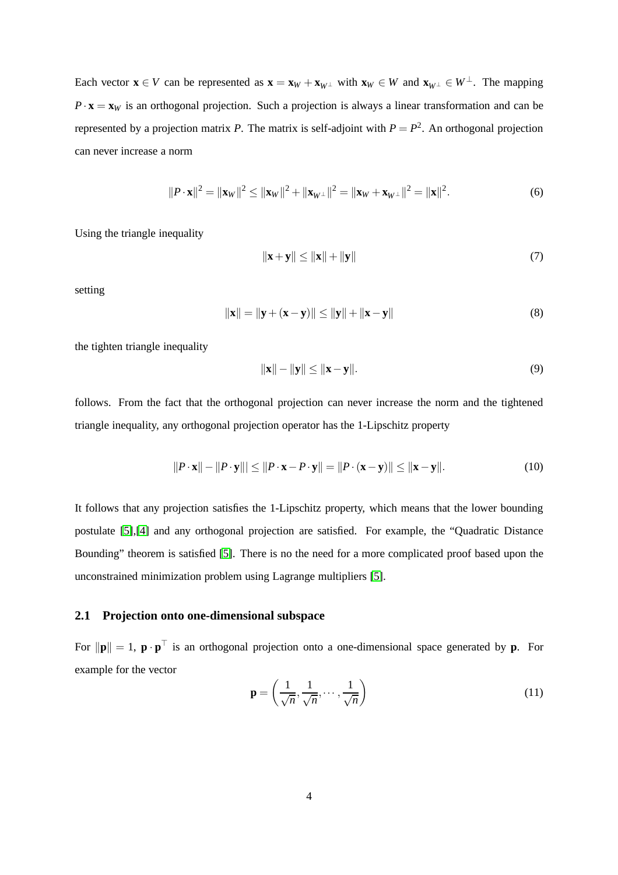Each vector  $\mathbf{x} \in V$  can be represented as  $\mathbf{x} = \mathbf{x}_W + \mathbf{x}_{W\perp}$  with  $\mathbf{x}_W \in W$  and  $\mathbf{x}_{W\perp} \in W^{\perp}$ . The mapping  $P \cdot \mathbf{x} = \mathbf{x}_W$  is an orthogonal projection. Such a projection is always a linear transformation and can be represented by a projection matrix *P*. The matrix is self-adjoint with  $P = P^2$ . An orthogonal projection can never increase a norm

$$
||P \cdot \mathbf{x}||^2 = ||\mathbf{x}_W||^2 \le ||\mathbf{x}_W||^2 + ||\mathbf{x}_{W^\perp}||^2 = ||\mathbf{x}_W + \mathbf{x}_{W^\perp}||^2 = ||\mathbf{x}||^2.
$$
 (6)

Using the triangle inequality

$$
\|\mathbf{x} + \mathbf{y}\| \le \|\mathbf{x}\| + \|\mathbf{y}\| \tag{7}
$$

setting

$$
\|\mathbf{x}\| = \|\mathbf{y} + (\mathbf{x} - \mathbf{y})\| \le \|\mathbf{y}\| + \|\mathbf{x} - \mathbf{y}\|
$$
 (8)

the tighten triangle inequality

$$
\|\mathbf{x}\| - \|\mathbf{y}\| \le \|\mathbf{x} - \mathbf{y}\|.\tag{9}
$$

follows. From the fact that the orthogonal projection can never increase the norm and the tightened triangle inequality, any orthogonal projection operator has the 1-Lipschitz property

$$
||P \cdot \mathbf{x}|| - ||P \cdot \mathbf{y}||| \le ||P \cdot \mathbf{x} - P \cdot \mathbf{y}|| = ||P \cdot (\mathbf{x} - \mathbf{y})|| \le ||\mathbf{x} - \mathbf{y}||. \tag{10}
$$

It follows that any projection satisfies the 1-Lipschitz property, which means that the lower bounding postulate [\[5\]](#page-17-0),[\[4\]](#page-17-1) and any orthogonal projection are satisfied. For example, the "Quadratic Distance Bounding" theorem is satisfied [\[5\]](#page-17-0). There is no the need for a more complicated proof based upon the unconstrained minimization problem using Lagrange multipliers [\[5\]](#page-17-0).

#### **2.1 Projection onto one-dimensional subspace**

For  $\|\mathbf{p}\| = 1$ ,  $\mathbf{p} \cdot \mathbf{p}^{\dagger}$  is an orthogonal projection onto a one-dimensional space generated by **p**. For example for the vector

$$
\mathbf{p} = \left(\frac{1}{\sqrt{n}}, \frac{1}{\sqrt{n}}, \cdots, \frac{1}{\sqrt{n}}\right) \tag{11}
$$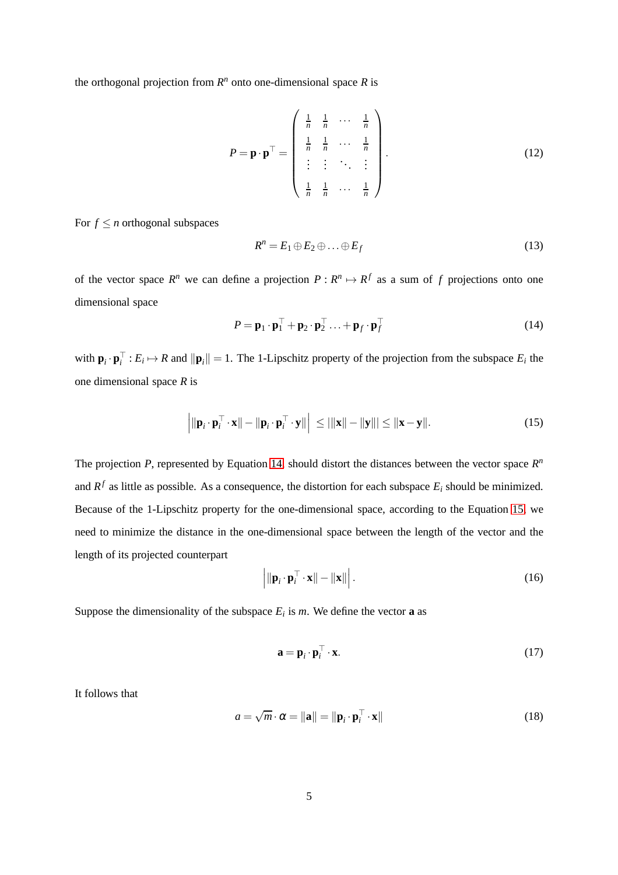the orthogonal projection from  $R^n$  onto one-dimensional space  $R$  is

$$
P = \mathbf{p} \cdot \mathbf{p}^{\top} = \begin{pmatrix} \frac{1}{n} & \frac{1}{n} & \cdots & \frac{1}{n} \\ \frac{1}{n} & \frac{1}{n} & \cdots & \frac{1}{n} \\ \vdots & \vdots & \ddots & \vdots \\ \frac{1}{n} & \frac{1}{n} & \cdots & \frac{1}{n} \end{pmatrix} . \tag{12}
$$

For  $f \leq n$  orthogonal subspaces

<span id="page-4-2"></span>
$$
R^n = E_1 \oplus E_2 \oplus \ldots \oplus E_f \tag{13}
$$

of the vector space  $R^n$  we can define a projection  $P: R^n \mapsto R^f$  as a sum of f projections onto one dimensional space

<span id="page-4-0"></span>
$$
P = \mathbf{p}_1 \cdot \mathbf{p}_1^\top + \mathbf{p}_2 \cdot \mathbf{p}_2^\top \dots + \mathbf{p}_f \cdot \mathbf{p}_f^\top
$$
 (14)

with  $\mathbf{p}_i \cdot \mathbf{p}_i^+ : E_i \mapsto R$  and  $\|\mathbf{p}_i\| = 1$ . The 1-Lipschitz property of the projection from the subspace  $E_i$  the one dimensional space *R* is

<span id="page-4-1"></span>
$$
\left| \|\mathbf{p}_i \cdot \mathbf{p}_i^\top \cdot \mathbf{x}\| - \|\mathbf{p}_i \cdot \mathbf{p}_i^\top \cdot \mathbf{y}\| \right| \le ||\|\mathbf{x}\| - \|\mathbf{y}\|| \le \|\mathbf{x} - \mathbf{y}\|.
$$
 (15)

The projection  $P$ , represented by Equation [14,](#page-4-0) should distort the distances between the vector space  $R<sup>n</sup>$ and  $R^f$  as little as possible. As a consequence, the distortion for each subspace  $E_i$  should be minimized. Because of the 1-Lipschitz property for the one-dimensional space, according to the Equation [15,](#page-4-1) we need to minimize the distance in the one-dimensional space between the length of the vector and the length of its projected counterpart

$$
\left| \|\mathbf{p}_i \cdot \mathbf{p}_i^\top \cdot \mathbf{x}\| - \|\mathbf{x}\| \right|.
$$
 (16)

Suppose the dimensionality of the subspace  $E_i$  is  $m$ . We define the vector **a** as

$$
\mathbf{a} = \mathbf{p}_i \cdot \mathbf{p}_i^\top \cdot \mathbf{x}.\tag{17}
$$

It follows that

$$
a = \sqrt{m} \cdot \alpha = \|\mathbf{a}\| = \|\mathbf{p}_i \cdot \mathbf{p}_i^\top \cdot \mathbf{x}\|
$$
\n(18)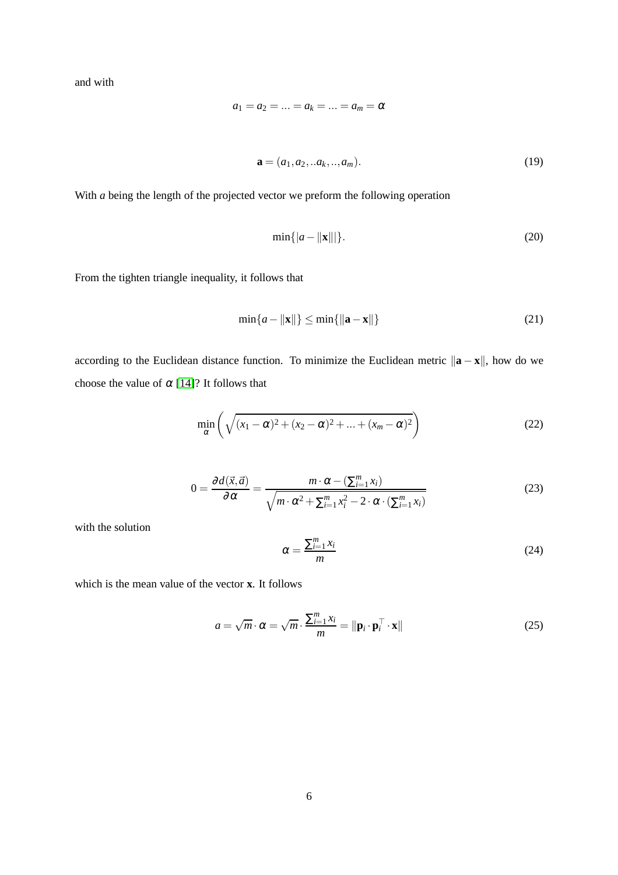and with

$$
a_1 = a_2 = \ldots = a_k = \ldots = a_m = \alpha
$$

$$
\mathbf{a} = (a_1, a_2, \dots a_k, \dots, a_m). \tag{19}
$$

With *a* being the length of the projected vector we preform the following operation

$$
\min\{|a - ||\mathbf{x}|||\}.
$$
 (20)

From the tighten triangle inequality, it follows that

$$
\min\{a - \|\mathbf{x}\|\} \le \min\{\|\mathbf{a} - \mathbf{x}\|\}\tag{21}
$$

according to the Euclidean distance function. To minimize the Euclidean metric  $\|\mathbf{a} - \mathbf{x}\|$ , how do we choose the value of  $\alpha$  [\[14\]](#page-18-6)? It follows that

$$
\min_{\alpha} \left( \sqrt{(x_1 - \alpha)^2 + (x_2 - \alpha)^2 + \dots + (x_m - \alpha)^2} \right) \tag{22}
$$

$$
0 = \frac{\partial d(\vec{x}, \vec{a})}{\partial \alpha} = \frac{m \cdot \alpha - (\sum_{i=1}^{m} x_i)}{\sqrt{m \cdot \alpha^2 + \sum_{i=1}^{m} x_i^2 - 2 \cdot \alpha \cdot (\sum_{i=1}^{m} x_i)}}\tag{23}
$$

with the solution

$$
\alpha = \frac{\sum_{i=1}^{m} x_i}{m} \tag{24}
$$

which is the mean value of the vector **x**. It follows

$$
a = \sqrt{m} \cdot \alpha = \sqrt{m} \cdot \frac{\sum_{i=1}^{m} x_i}{m} = \|\mathbf{p}_i \cdot \mathbf{p}_i^{\top} \cdot \mathbf{x}\|
$$
\n(25)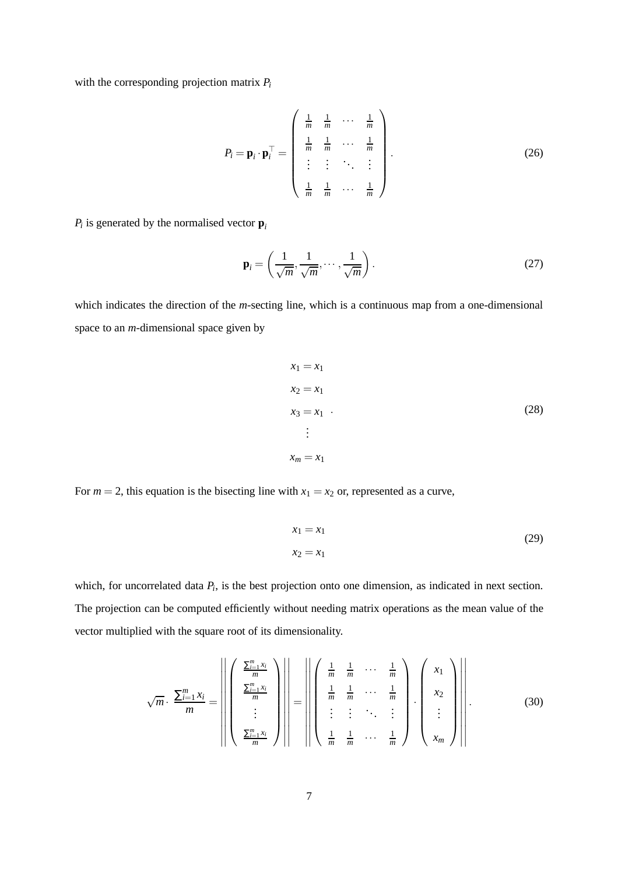with the corresponding projection matrix *P<sup>i</sup>*

$$
P_i = \mathbf{p}_i \cdot \mathbf{p}_i^\top = \begin{pmatrix} \frac{1}{m} & \frac{1}{m} & \cdots & \frac{1}{m} \\ \frac{1}{m} & \frac{1}{m} & \cdots & \frac{1}{m} \\ \vdots & \vdots & \ddots & \vdots \\ \frac{1}{m} & \frac{1}{m} & \cdots & \frac{1}{m} \end{pmatrix} . \tag{26}
$$

 $P_i$  is generated by the normalised vector  $\mathbf{p}_i$ 

$$
\mathbf{p}_i = \left(\frac{1}{\sqrt{m}}, \frac{1}{\sqrt{m}}, \cdots, \frac{1}{\sqrt{m}}\right). \tag{27}
$$

which indicates the direction of the *m*-secting line, which is a continuous map from a one-dimensional space to an *m*-dimensional space given by

$$
x_1 = x_1
$$
  
\n
$$
x_2 = x_1
$$
  
\n
$$
x_3 = x_1
$$
  
\n
$$
\vdots
$$
  
\n
$$
x_m = x_1
$$
  
\n(28)

For  $m = 2$ , this equation is the bisecting line with  $x_1 = x_2$  or, represented as a curve,

$$
x_1 = x_1
$$
  
\n
$$
x_2 = x_1
$$
\n(29)

which, for uncorrelated data  $P_i$ , is the best projection onto one dimension, as indicated in next section. The projection can be computed efficiently without needing matrix operations as the mean value of the vector multiplied with the square root of its dimensionality.

$$
\sqrt{m} \cdot \frac{\sum_{i=1}^{m} x_i}{m} = \left\| \left( \begin{array}{c} \frac{\sum_{i=1}^{m} x_i}{m} \\ \frac{\sum_{i=1}^{m} x_i}{m} \\ \vdots \\ \frac{\sum_{i=1}^{m} x_i}{m} \end{array} \right) \right\| = \left\| \left( \begin{array}{ccc} \frac{1}{m} & \frac{1}{m} & \cdots & \frac{1}{m} \\ \frac{1}{m} & \frac{1}{m} & \cdots & \frac{1}{m} \\ \vdots & \vdots & \ddots & \vdots \\ \frac{1}{m} & \frac{1}{m} & \cdots & \frac{1}{m} \end{array} \right) \cdot \left( \begin{array}{c} x_1 \\ x_2 \\ \vdots \\ x_m \end{array} \right) \right\|.
$$
(30)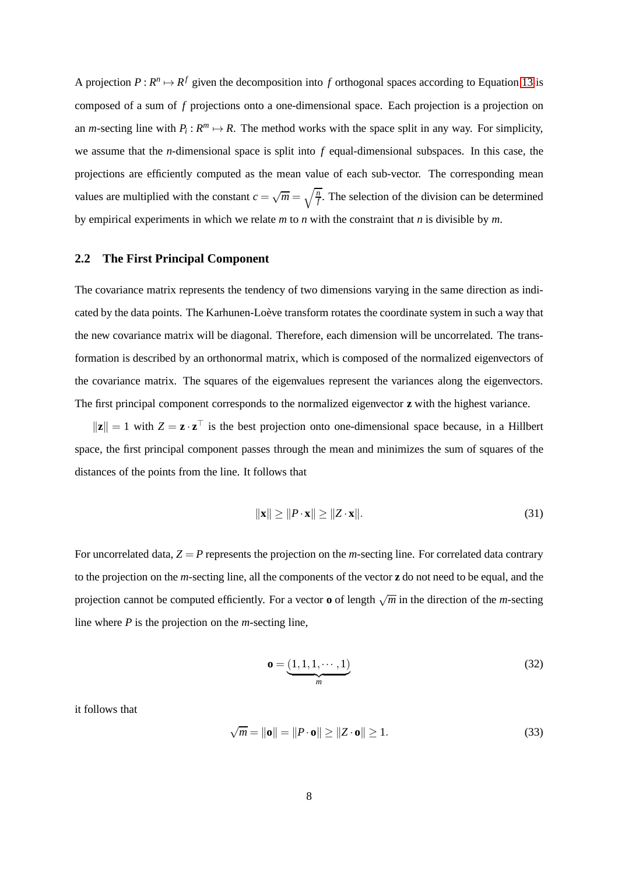A projection  $P: R^n \mapsto R^f$  given the decomposition into f orthogonal spaces according to Equation [13](#page-4-2) is composed of a sum of *f* projections onto a one-dimensional space. Each projection is a projection on an *m*-secting line with  $P_i: R^m \mapsto R$ . The method works with the space split in any way. For simplicity, we assume that the *n*-dimensional space is split into *f* equal-dimensional subspaces. In this case, the projections are efficiently computed as the mean value of each sub-vector. The corresponding mean values are multiplied with the constant  $c = \sqrt{m} = \sqrt{\frac{n}{f}}$ . The selection of the division can be determined by empirical experiments in which we relate *m* to *n* with the constraint that *n* is divisible by *m*.

#### **2.2 The First Principal Component**

The covariance matrix represents the tendency of two dimensions varying in the same direction as indicated by the data points. The Karhunen-Loève transform rotates the coordinate system in such a way that the new covariance matrix will be diagonal. Therefore, each dimension will be uncorrelated. The transformation is described by an orthonormal matrix, which is composed of the normalized eigenvectors of the covariance matrix. The squares of the eigenvalues represent the variances along the eigenvectors. The first principal component corresponds to the normalized eigenvector **z** with the highest variance.

 $\|\mathbf{z}\| = 1$  with  $Z = \mathbf{z} \cdot \mathbf{z}^\top$  is the best projection onto one-dimensional space because, in a Hillbert space, the first principal component passes through the mean and minimizes the sum of squares of the distances of the points from the line. It follows that

$$
\|\mathbf{x}\| \ge \|P \cdot \mathbf{x}\| \ge \|Z \cdot \mathbf{x}\|.\tag{31}
$$

For uncorrelated data,  $Z = P$  represents the projection on the *m*-secting line. For correlated data contrary to the projection on the *m*-secting line, all the components of the vector **z** do not need to be equal, and the projection cannot be computed efficiently. For a vector  $\mathbf{o}$  of length  $\sqrt{m}$  in the direction of the *m*-secting line where *P* is the projection on the *m*-secting line,

$$
\mathbf{o} = \underbrace{(1,1,1,\cdots,1)}_{m}
$$
\n(32)

it follows that

$$
\sqrt{m} = \|\mathbf{o}\| = \|P \cdot \mathbf{o}\| \ge \|Z \cdot \mathbf{o}\| \ge 1. \tag{33}
$$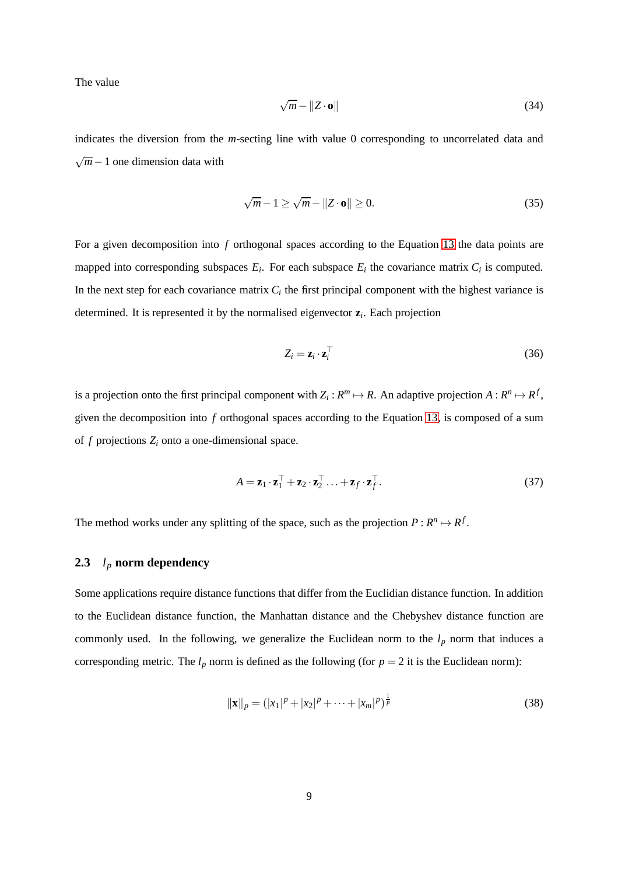<span id="page-8-0"></span>The value

$$
\sqrt{m} - \|Z \cdot \mathbf{o}\| \tag{34}
$$

indicates the diversion from the *m*-secting line with value 0 corresponding to uncorrelated data and √ *m*−1 one dimension data with

$$
\sqrt{m} - 1 \ge \sqrt{m} - \|Z \cdot \mathbf{o}\| \ge 0. \tag{35}
$$

For a given decomposition into *f* orthogonal spaces according to the Equation [13](#page-4-2) the data points are mapped into corresponding subspaces  $E_i$ . For each subspace  $E_i$  the covariance matrix  $C_i$  is computed. In the next step for each covariance matrix  $C_i$  the first principal component with the highest variance is determined. It is represented it by the normalised eigenvector **z***<sup>i</sup>* . Each projection

$$
Z_i = \mathbf{z}_i \cdot \mathbf{z}_i^\top \tag{36}
$$

is a projection onto the first principal component with  $Z_i: R^m \mapsto R$ . An adaptive projection  $A: R^n \mapsto R^f$ , given the decomposition into *f* orthogonal spaces according to the Equation [13,](#page-4-2) is composed of a sum of  $f$  projections  $Z_i$  onto a one-dimensional space.

$$
A = \mathbf{z}_1 \cdot \mathbf{z}_1^\top + \mathbf{z}_2 \cdot \mathbf{z}_2^\top \dots + \mathbf{z}_f \cdot \mathbf{z}_f^\top. \tag{37}
$$

The method works under any splitting of the space, such as the projection  $P: R^n \mapsto R^f$ .

#### **2.3** *l<sup>p</sup>* **norm dependency**

Some applications require distance functions that differ from the Euclidian distance function. In addition to the Euclidean distance function, the Manhattan distance and the Chebyshev distance function are commonly used. In the following, we generalize the Euclidean norm to the  $l_p$  norm that induces a corresponding metric. The  $l_p$  norm is defined as the following (for  $p = 2$  it is the Euclidean norm):

$$
\|\mathbf{x}\|_{p} = (|x_{1}|^{p} + |x_{2}|^{p} + \dots + |x_{m}|^{p})^{\frac{1}{p}}
$$
\n(38)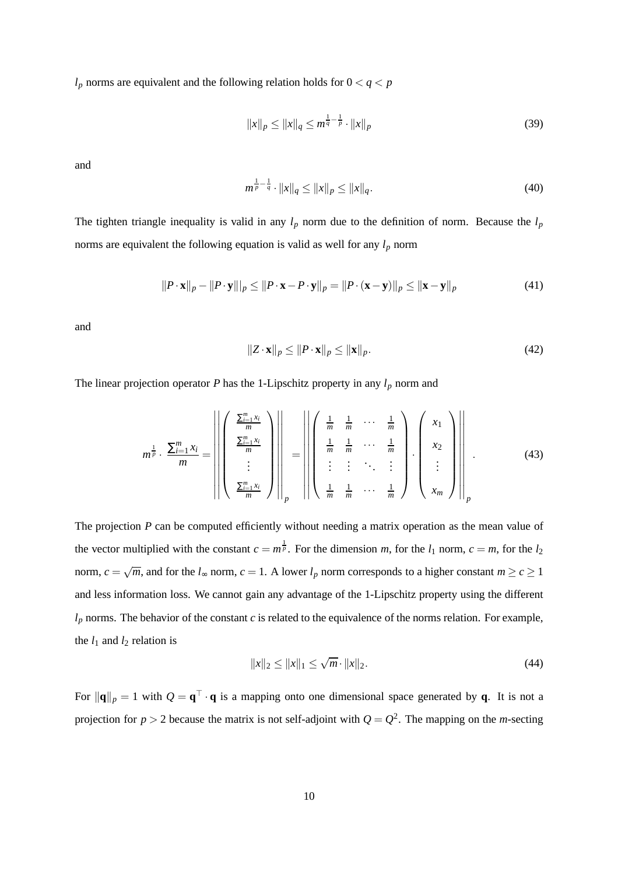$l_p$  norms are equivalent and the following relation holds for  $0 < q < p$ 

$$
||x||_p \le ||x||_q \le m^{\frac{1}{q} - \frac{1}{p}} \cdot ||x||_p \tag{39}
$$

and

$$
m^{\frac{1}{p}-\frac{1}{q}} \cdot ||x||_q \le ||x||_p \le ||x||_q. \tag{40}
$$

The tighten triangle inequality is valid in any  $l_p$  norm due to the definition of norm. Because the  $l_p$ norms are equivalent the following equation is valid as well for any *l<sup>p</sup>* norm

$$
||P \cdot \mathbf{x}||_p - ||P \cdot \mathbf{y}||_p \le ||P \cdot \mathbf{x} - P \cdot \mathbf{y}||_p = ||P \cdot (\mathbf{x} - \mathbf{y})||_p \le ||\mathbf{x} - \mathbf{y}||_p
$$
\n(41)

and

$$
||Z \cdot \mathbf{x}||_p \le ||P \cdot \mathbf{x}||_p \le ||\mathbf{x}||_p. \tag{42}
$$

The linear projection operator  $P$  has the 1-Lipschitz property in any  $l_p$  norm and

$$
m^{\frac{1}{p}} \cdot \frac{\sum_{i=1}^{m} x_i}{m} = \left\| \left( \begin{array}{c} \frac{\sum_{i=1}^{m} x_i}{m} \\ \frac{\sum_{i=1}^{m} x_i}{m} \\ \vdots \\ \frac{\sum_{i=1}^{m} x_i}{m} \end{array} \right) \right\|_p = \left\| \left( \begin{array}{ccc} \frac{1}{m} & \frac{1}{m} & \cdots & \frac{1}{m} \\ \frac{1}{m} & \frac{1}{m} & \cdots & \frac{1}{m} \\ \vdots & \vdots & \ddots & \vdots \\ \frac{1}{m} & \frac{1}{m} & \cdots & \frac{1}{m} \end{array} \right) \cdot \left( \begin{array}{c} x_1 \\ x_2 \\ \vdots \\ x_m \end{array} \right) \right\|_p.
$$
 (43)

The projection *P* can be computed efficiently without needing a matrix operation as the mean value of the vector multiplied with the constant  $c = m^{\frac{1}{p}}$ . For the dimension *m*, for the *l*<sub>1</sub> norm,  $c = m$ , for the *l*<sub>2</sub> norm,  $c = \sqrt{m}$ , and for the  $l_{\infty}$  norm,  $c = 1$ . A lower  $l_p$  norm corresponds to a higher constant  $m \ge c \ge 1$ and less information loss. We cannot gain any advantage of the 1-Lipschitz property using the different  $l_p$  norms. The behavior of the constant  $c$  is related to the equivalence of the norms relation. For example, the  $l_1$  and  $l_2$  relation is

$$
||x||_2 \le ||x||_1 \le \sqrt{m} \cdot ||x||_2. \tag{44}
$$

For  $\|\mathbf{q}\|_p = 1$  with  $Q = \mathbf{q}^\perp \cdot \mathbf{q}$  is a mapping onto one dimensional space generated by **q**. It is not a projection for  $p > 2$  because the matrix is not self-adjoint with  $Q = Q^2$ . The mapping on the *m*-secting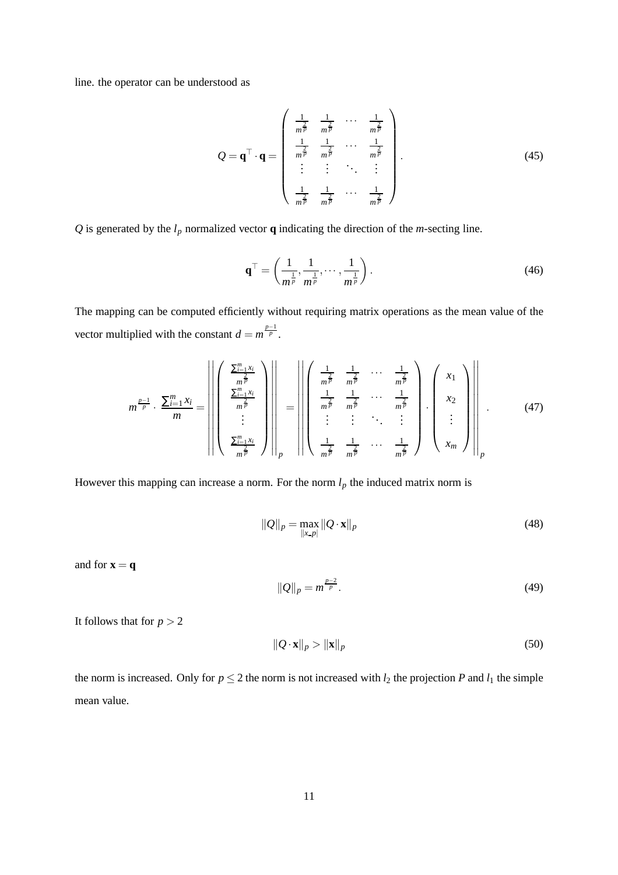line. the operator can be understood as

$$
Q = \mathbf{q}^{\top} \cdot \mathbf{q} = \begin{pmatrix} \frac{1}{m^{\frac{2}{p}}} & \frac{1}{m^{\frac{2}{p}}} & \cdots & \frac{1}{m^{\frac{2}{p}}} \\ \frac{1}{m^{\frac{2}{p}}} & \frac{1}{m^{\frac{2}{p}}} & \cdots & \frac{1}{m^{\frac{2}{p}}} \\ \vdots & \vdots & \ddots & \vdots \\ \frac{1}{m^{\frac{2}{p}}} & \frac{1}{m^{\frac{2}{p}}} & \cdots & \frac{1}{m^{\frac{2}{p}}} \end{pmatrix}.
$$
 (45)

*Q* is generated by the  $l_p$  normalized vector **q** indicating the direction of the *m*-secting line.

$$
\mathbf{q}^{\top} = \left(\frac{1}{m^{\frac{1}{p}}}, \frac{1}{m^{\frac{1}{p}}}, \cdots, \frac{1}{m^{\frac{1}{p}}}\right). \tag{46}
$$

The mapping can be computed efficiently without requiring matrix operations as the mean value of the vector multiplied with the constant  $d = m^{\frac{p-1}{p}}$ .

$$
m^{\frac{p-1}{p}} \cdot \frac{\sum_{i=1}^{m} x_i}{m} = \left\| \left( \begin{array}{c} \frac{\sum_{i=1}^{m} x_i}{m^{\frac{2}{p}}} \\ \frac{\sum_{i=1}^{m} x_i}{m^{\frac{2}{p}}} \\ \vdots \\ \frac{\sum_{i=1}^{m} x_i}{m^{\frac{2}{p}}} \end{array} \right) \right\|_{p} = \left\| \left( \begin{array}{ccc} \frac{1}{m^{\frac{2}{p}}} & \frac{1}{m^{\frac{2}{p}}} & \cdots & \frac{1}{m^{\frac{2}{p}}} \\ \frac{1}{m^{\frac{2}{p}}} & \frac{1}{m^{\frac{2}{p}}} & \cdots & \frac{1}{m^{\frac{2}{p}}} \\ \vdots & \vdots & \ddots & \vdots \\ \frac{1}{m^{\frac{2}{p}}} & \frac{1}{m^{\frac{2}{p}}} & \cdots & \frac{1}{m^{\frac{2}{p}}} \end{array} \right) \cdot \left( \begin{array}{c} x_1 \\ x_2 \\ \vdots \\ x_m \end{array} \right) \right\|_{p} \tag{47}
$$

However this mapping can increase a norm. For the norm  $l_p$  the induced matrix norm is

$$
||Q||_p = \max_{||x-p||} ||Q \cdot \mathbf{x}||_p
$$
\n(48)

and for  $\mathbf{x} = \mathbf{q}$ 

$$
||Q||_p = m^{\frac{p-2}{p}}.
$$
\n(49)

It follows that for  $p > 2$ 

$$
\|\mathcal{Q} \cdot \mathbf{x}\|_p > \|\mathbf{x}\|_p \tag{50}
$$

the norm is increased. Only for  $p \le 2$  the norm is not increased with  $l_2$  the projection *P* and  $l_1$  the simple mean value.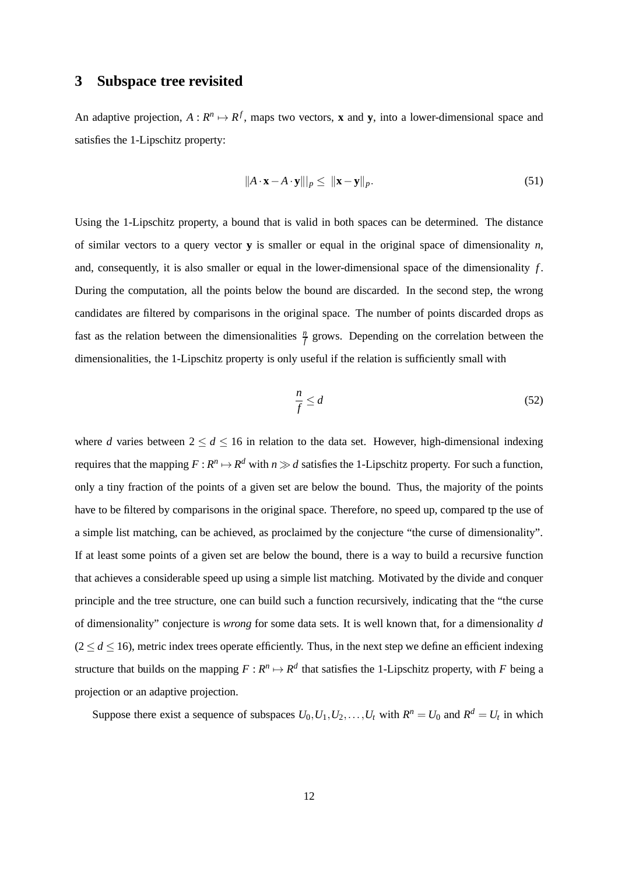### **3 Subspace tree revisited**

An adaptive projection,  $A: \mathbb{R}^n \mapsto \mathbb{R}^f$ , maps two vectors, **x** and **y**, into a lower-dimensional space and satisfies the 1-Lipschitz property:

$$
||A \cdot \mathbf{x} - A \cdot \mathbf{y}||_p \le ||\mathbf{x} - \mathbf{y}||_p. \tag{51}
$$

Using the 1-Lipschitz property, a bound that is valid in both spaces can be determined. The distance of similar vectors to a query vector **y** is smaller or equal in the original space of dimensionality  $n$ , and, consequently, it is also smaller or equal in the lower-dimensional space of the dimensionality *f* . During the computation, all the points below the bound are discarded. In the second step, the wrong candidates are filtered by comparisons in the original space. The number of points discarded drops as fast as the relation between the dimensionalities  $\frac{n}{f}$  grows. Depending on the correlation between the dimensionalities, the 1-Lipschitz property is only useful if the relation is sufficiently small with

$$
\frac{n}{f} \le d \tag{52}
$$

where *d* varies between  $2 \le d \le 16$  in relation to the data set. However, high-dimensional indexing requires that the mapping  $F: R^n \mapsto R^d$  with  $n \gg d$  satisfies the 1-Lipschitz property. For such a function, only a tiny fraction of the points of a given set are below the bound. Thus, the majority of the points have to be filtered by comparisons in the original space. Therefore, no speed up, compared tp the use of a simple list matching, can be achieved, as proclaimed by the conjecture "the curse of dimensionality". If at least some points of a given set are below the bound, there is a way to build a recursive function that achieves a considerable speed up using a simple list matching. Motivated by the divide and conquer principle and the tree structure, one can build such a function recursively, indicating that the "the curse of dimensionality" conjecture is *wrong* for some data sets. It is well known that, for a dimensionality *d*  $(2 \le d \le 16)$ , metric index trees operate efficiently. Thus, in the next step we define an efficient indexing structure that builds on the mapping  $F: \mathbb{R}^n \mapsto \mathbb{R}^d$  that satisfies the 1-Lipschitz property, with *F* being a projection or an adaptive projection.

Suppose there exist a sequence of subspaces  $U_0, U_1, U_2, \ldots, U_t$  with  $R^n = U_0$  and  $R^d = U_t$  in which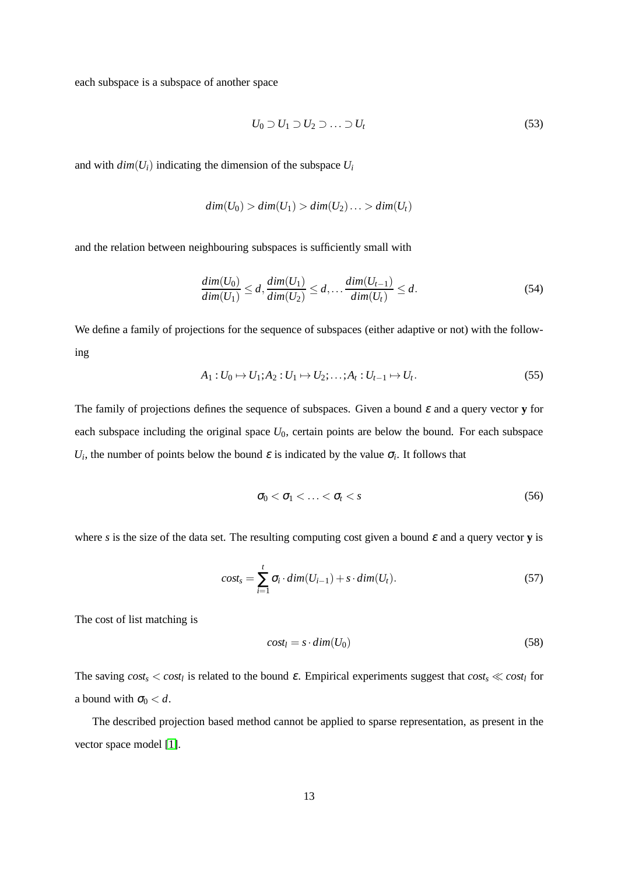each subspace is a subspace of another space

$$
U_0 \supset U_1 \supset U_2 \supset \ldots \supset U_t \tag{53}
$$

and with  $dim(U_i)$  indicating the dimension of the subspace  $U_i$ 

$$
dim(U_0) > dim(U_1) > dim(U_2) \ldots > dim(U_t)
$$

and the relation between neighbouring subspaces is sufficiently small with

$$
\frac{dim(U_0)}{dim(U_1)} \le d, \frac{dim(U_1)}{dim(U_2)} \le d, \dots \frac{dim(U_{t-1})}{dim(U_t)} \le d.
$$
\n(54)

We define a family of projections for the sequence of subspaces (either adaptive or not) with the following

$$
A_1: U_0 \mapsto U_1; A_2: U_1 \mapsto U_2; \dots; A_t: U_{t-1} \mapsto U_t.
$$
 (55)

The family of projections defines the sequence of subspaces. Given a bound <sup>ε</sup> and a query vector **y** for each subspace including the original space  $U_0$ , certain points are below the bound. For each subspace *U<sub>i</sub>*, the number of points below the bound  $\varepsilon$  is indicated by the value  $\sigma_i$ . It follows that

<span id="page-12-0"></span>
$$
\sigma_0 < \sigma_1 < \ldots < \sigma_t < s \tag{56}
$$

where *s* is the size of the data set. The resulting computing cost given a bound  $\varepsilon$  and a query vector **y** is

$$
cost_s = \sum_{i=1}^{t} \sigma_i \cdot dim(U_{i-1}) + s \cdot dim(U_t). \tag{57}
$$

The cost of list matching is

$$
cost_l = s \cdot dim(U_0) \tag{58}
$$

The saving  $cost_s < cost_l$  is related to the bound  $\varepsilon$ . Empirical experiments suggest that  $cost_s \ll cost_l$  for a bound with  $\sigma_0 < d$ .

The described projection based method cannot be applied to sparse representation, as present in the vector space model [\[1\]](#page-17-3).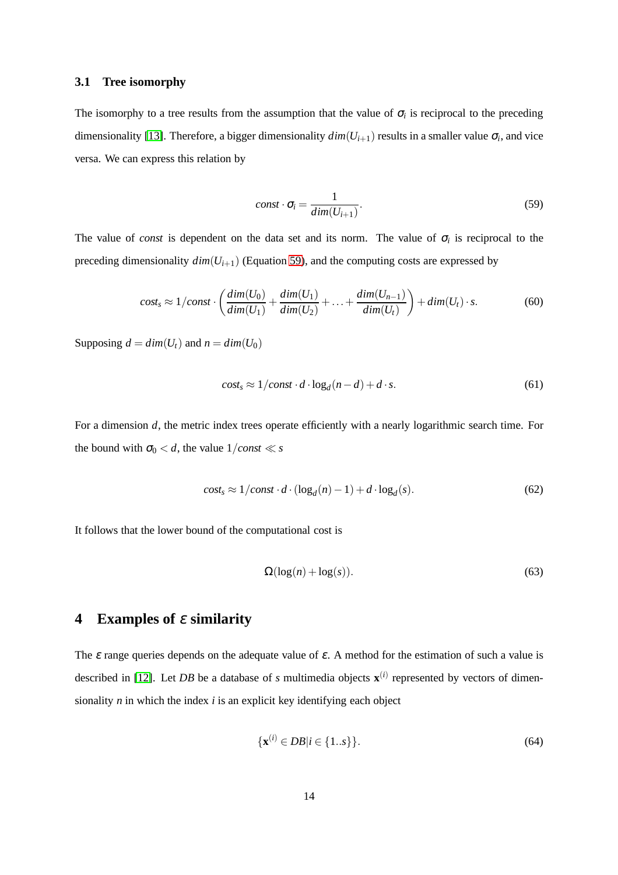### **3.1 Tree isomorphy**

<span id="page-13-0"></span>The isomorphy to a tree results from the assumption that the value of  $\sigma_i$  is reciprocal to the preceding dimensionality [\[13\]](#page-18-5). Therefore, a bigger dimensionality  $dim(U_{i+1})$  results in a smaller value  $\sigma_i$ , and vice versa. We can express this relation by

$$
const \cdot \sigma_i = \frac{1}{dim(U_{i+1})}.
$$
\n(59)

The value of *const* is dependent on the data set and its norm. The value of  $\sigma_i$  is reciprocal to the preceding dimensionality  $dim(U_{i+1})$  (Equation [59\)](#page-13-0), and the computing costs are expressed by

$$
cost_s \approx 1/const \cdot \left(\frac{dim(U_0)}{dim(U_1)} + \frac{dim(U_1)}{dim(U_2)} + \dots + \frac{dim(U_{n-1})}{dim(U_t)}\right) + dim(U_t) \cdot s. \tag{60}
$$

Supposing  $d = dim(U_t)$  and  $n = dim(U_0)$ 

$$
cost_s \approx 1/const \cdot d \cdot \log_d(n-d) + d \cdot s. \tag{61}
$$

For a dimension *d*, the metric index trees operate efficiently with a nearly logarithmic search time. For the bound with  $\sigma_0 < d$ , the value  $1/const \ll s$ 

$$
cost_s \approx 1/const \cdot d \cdot (\log_d(n) - 1) + d \cdot \log_d(s). \tag{62}
$$

It follows that the lower bound of the computational cost is

$$
\Omega(\log(n) + \log(s)).\tag{63}
$$

### **4 Examples of** <sup>ε</sup> **similarity**

The  $\varepsilon$  range queries depends on the adequate value of  $\varepsilon$ . A method for the estimation of such a value is described in [\[12\]](#page-18-4). Let *DB* be a database of *s* multimedia objects  $\mathbf{x}^{(i)}$  represented by vectors of dimensionality *n* in which the index *i* is an explicit key identifying each object

$$
\{\mathbf x^{(i)} \in DB | i \in \{1..s\}\}.
$$
\n(64)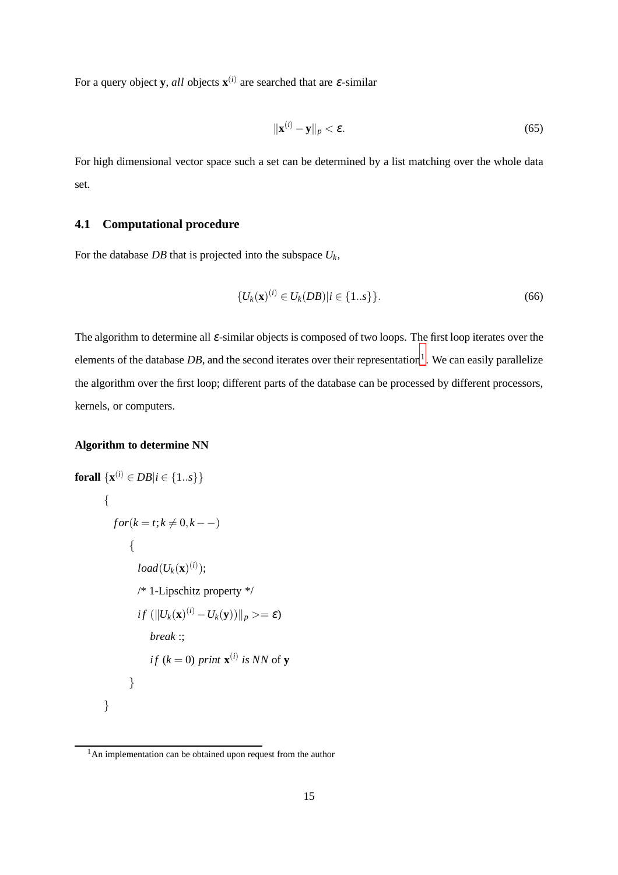For a query object **y**, *all* objects  $\mathbf{x}^{(i)}$  are searched that are  $\varepsilon$ -similar

$$
\|\mathbf{x}^{(i)} - \mathbf{y}\|_p < \varepsilon. \tag{65}
$$

For high dimensional vector space such a set can be determined by a list matching over the whole data set.

### **4.1 Computational procedure**

For the database *DB* that is projected into the subspace  $U_k$ ,

$$
\{U_k(\mathbf{x})^{(i)} \in U_k(DB)|i \in \{1..s\}\}.
$$
\n(66)

The algorithm to determine all <sup>ε</sup>-similar objects is composed of two loops. The first loop iterates over the elements of the database *DB*, and the second iterates over their representation<sup>[1](#page-14-0)</sup>. We can easily parallelize the algorithm over the first loop; different parts of the database can be processed by different processors, kernels, or computers.

#### **Algorithm to determine NN**

forall 
$$
\{\mathbf{x}^{(i)} \in DB | i \in \{1..s\}\}
$$

\n $\{ \text{for}(k = t; k \neq 0, k ---)$ 

\n $\{ \text{load}(U_k(\mathbf{x})^{(i)});$ 

\n $/* 1$ -Lipschitz property  $*/$ 

\n $if (\|U_k(\mathbf{x})^{(i)} - U_k(\mathbf{y})) \|_p \geq \varepsilon \}$ 

\n $break ::$ 

\n $if (k = 0) \text{ print } \mathbf{x}^{(i)} \text{ is NN of } \mathbf{y}$ 

\n $\}$ 

<span id="page-14-0"></span><sup>&</sup>lt;sup>1</sup>An implementation can be obtained upon request from the author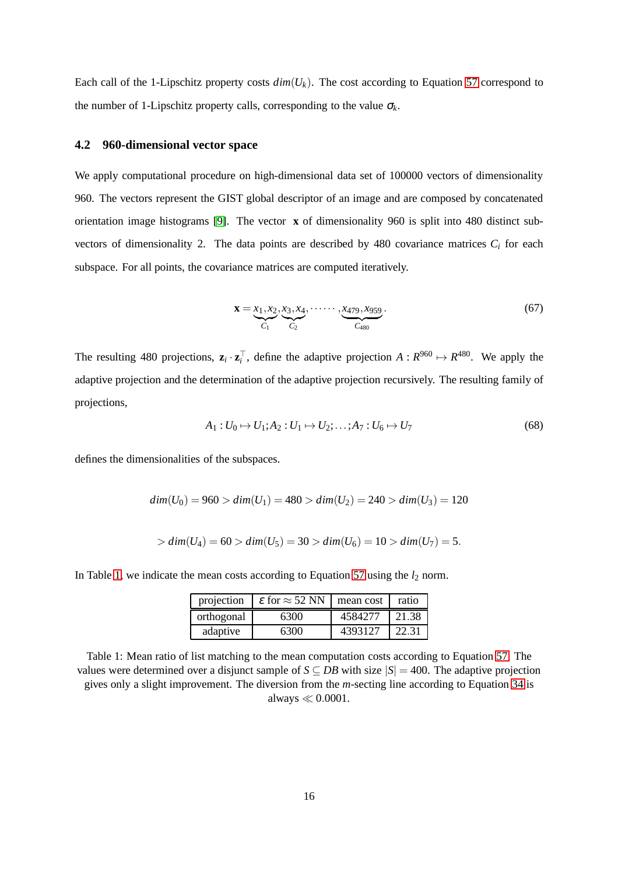Each call of the 1-Lipschitz property costs  $dim(U_k)$ . The cost according to Equation [57](#page-12-0) correspond to the number of 1-Lipschitz property calls, corresponding to the value  $\sigma_k$ .

#### **4.2 960-dimensional vector space**

We apply computational procedure on high-dimensional data set of 100000 vectors of dimensionality 960. The vectors represent the GIST global descriptor of an image and are composed by concatenated orientation image histograms [\[9\]](#page-18-7). The vector **x** of dimensionality 960 is split into 480 distinct subvectors of dimensionality 2. The data points are described by 480 covariance matrices  $C_i$  for each subspace. For all points, the covariance matrices are computed iteratively.

$$
\mathbf{x} = \underbrace{x_1, x_2, x_3, x_4}_{C_1}, \dots, \underbrace{x_479, x_959}_{C_{480}}.
$$
 (67)

The resulting 480 projections,  $\mathbf{z}_i \cdot \mathbf{z}_i^{\top}$ , define the adaptive projection  $A: R^{960} \mapsto R^{480}$ . We apply the adaptive projection and the determination of the adaptive projection recursively. The resulting family of projections,

$$
A_1: U_0 \mapsto U_1; A_2: U_1 \mapsto U_2; \dots; A_7: U_6 \mapsto U_7 \tag{68}
$$

defines the dimensionalities of the subspaces.

$$
dim(U_0) = 960 > dim(U_1) = 480 > dim(U_2) = 240 > dim(U_3) = 120
$$

$$
> dim(U_4) = 60 > dim(U_5) = 30 > dim(U_6) = 10 > dim(U_7) = 5.
$$

<span id="page-15-0"></span>In Table [1,](#page-15-0) we indicate the mean costs according to Equation [57](#page-12-0) using the  $l_2$  norm.

| projection | $\varepsilon$ for $\approx$ 52 NN | mean cost | ratio |
|------------|-----------------------------------|-----------|-------|
| orthogonal | 6300                              | 4584277   | 21.38 |
| adaptive   | 6300                              | 4393127   | 22.31 |

Table 1: Mean ratio of list matching to the mean computation costs according to Equation [57.](#page-12-0) The values were determined over a disjunct sample of  $S \subseteq DB$  with size  $|S| = 400$ . The adaptive projection gives only a slight improvement. The diversion from the *m*-secting line according to Equation [34](#page-8-0) is always ≪ 0.0001.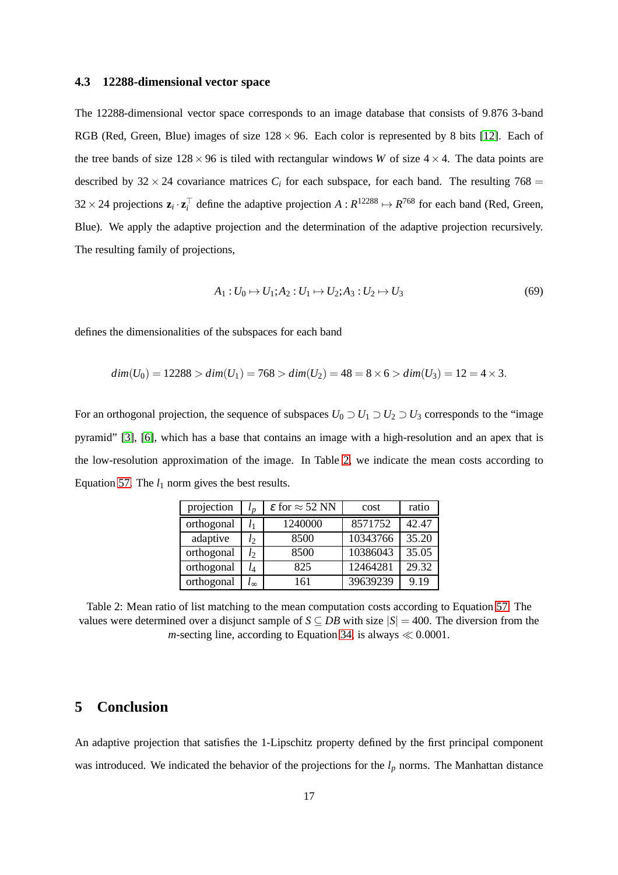#### **4.3 12288-dimensional vector space**

The 12288-dimensional vector space corresponds to an image database that consists of 9.876 3-band RGB (Red, Green, Blue) images of size  $128 \times 96$ . Each color is represented by 8 bits [\[12\]](#page-18-4). Each of the tree bands of size  $128 \times 96$  is tiled with rectangular windows *W* of size  $4 \times 4$ . The data points are described by  $32 \times 24$  covariance matrices  $C_i$  for each subspace, for each band. The resulting 768 =  $32 \times 24$  projections  $\mathbf{z}_i \cdot \mathbf{z}_i^{\top}$  define the adaptive projection  $A: R^{12288} \mapsto R^{768}$  for each band (Red, Green, Blue). We apply the adaptive projection and the determination of the adaptive projection recursively. The resulting family of projections,

$$
A_1: U_0 \mapsto U_1; A_2: U_1 \mapsto U_2; A_3: U_2 \mapsto U_3 \tag{69}
$$

defines the dimensionalities of the subspaces for each band

$$
dim(U_0) = 12288 > dim(U_1) = 768 > dim(U_2) = 48 = 8 \times 6 > dim(U_3) = 12 = 4 \times 3.
$$

<span id="page-16-0"></span>For an orthogonal projection, the sequence of subspaces  $U_0 \supset U_1 \supset U_2 \supset U_3$  corresponds to the "image pyramid" [\[3\]](#page-17-4), [\[6\]](#page-17-5), which has a base that contains an image with a high-resolution and an apex that is the low-resolution approximation of the image. In Table [2,](#page-16-0) we indicate the mean costs according to Equation [57.](#page-12-0) The  $l_1$  norm gives the best results.

| projection | $l_{n}$ | $\varepsilon$ for $\approx$ 52 NN | cost     | ratio |
|------------|---------|-----------------------------------|----------|-------|
| orthogonal | l1      | 1240000                           | 8571752  | 42.47 |
| adaptive   | $l_2$   | 8500                              | 10343766 | 35.20 |
| orthogonal | $l_2$   | 8500                              | 10386043 | 35.05 |
| orthogonal | l4      | 825                               | 12464281 | 29.32 |
| orthogonal |         | 161                               | 39639239 | 9.19  |

Table 2: Mean ratio of list matching to the mean computation costs according to Equation [57.](#page-12-0) The values were determined over a disjunct sample of  $S \subseteq DB$  with size  $|S| = 400$ . The diversion from the *m*-secting line, according to Equation [34,](#page-8-0) is always  $\ll 0.0001$ .

### **5 Conclusion**

An adaptive projection that satisfies the 1-Lipschitz property defined by the first principal component was introduced. We indicated the behavior of the projections for the  $l_p$  norms. The Manhattan distance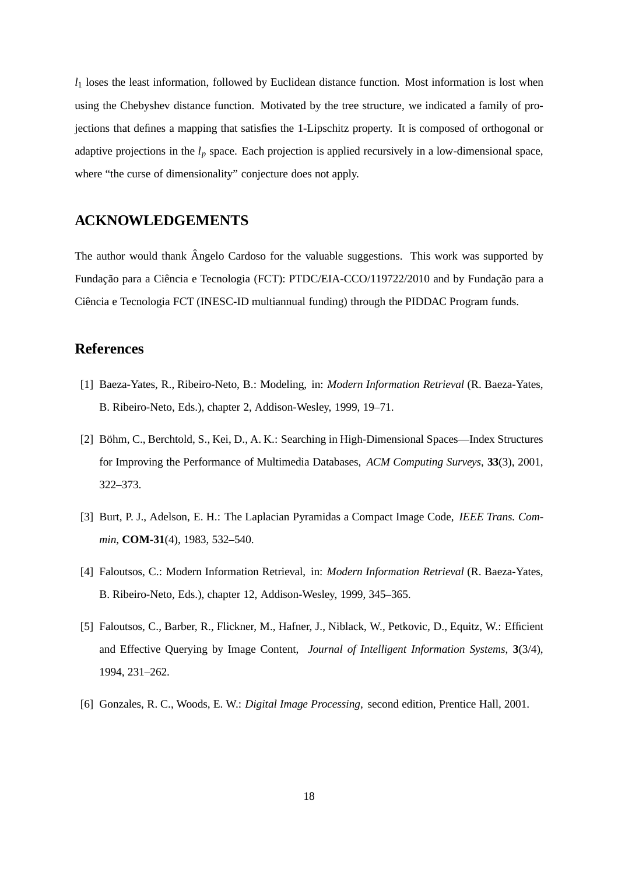*l*<sup>1</sup> loses the least information, followed by Euclidean distance function. Most information is lost when using the Chebyshev distance function. Motivated by the tree structure, we indicated a family of projections that defines a mapping that satisfies the 1-Lipschitz property. It is composed of orthogonal or adaptive projections in the *l<sup>p</sup>* space. Each projection is applied recursively in a low-dimensional space, where "the curse of dimensionality" conjecture does not apply.

### **ACKNOWLEDGEMENTS**

The author would thank Angelo Cardoso for the valuable suggestions. This work was supported by Fundação para a Ciência e Tecnologia (FCT): PTDC/EIA-CCO/119722/2010 and by Fundação para a Ciência e Tecnologia FCT (INESC-ID multiannual funding) through the PIDDAC Program funds.

### <span id="page-17-3"></span>**References**

- <span id="page-17-2"></span>[1] Baeza-Yates, R., Ribeiro-Neto, B.: Modeling, in: *Modern Information Retrieval* (R. Baeza-Yates, B. Ribeiro-Neto, Eds.), chapter 2, Addison-Wesley, 1999, 19–71.
- [2] Böhm, C., Berchtold, S., Kei, D., A. K.: Searching in High-Dimensional Spaces—Index Structures for Improving the Performance of Multimedia Databases, *ACM Computing Surveys*, **33**(3), 2001, 322–373.
- <span id="page-17-4"></span><span id="page-17-1"></span>[3] Burt, P. J., Adelson, E. H.: The Laplacian Pyramidas a Compact Image Code, *IEEE Trans. Commin*, **COM-31**(4), 1983, 532–540.
- <span id="page-17-0"></span>[4] Faloutsos, C.: Modern Information Retrieval, in: *Modern Information Retrieval* (R. Baeza-Yates, B. Ribeiro-Neto, Eds.), chapter 12, Addison-Wesley, 1999, 345–365.
- [5] Faloutsos, C., Barber, R., Flickner, M., Hafner, J., Niblack, W., Petkovic, D., Equitz, W.: Efficient and Effective Querying by Image Content, *Journal of Intelligent Information Systems*, **3**(3/4), 1994, 231–262.
- <span id="page-17-5"></span>[6] Gonzales, R. C., Woods, E. W.: *Digital Image Processing*, second edition, Prentice Hall, 2001.